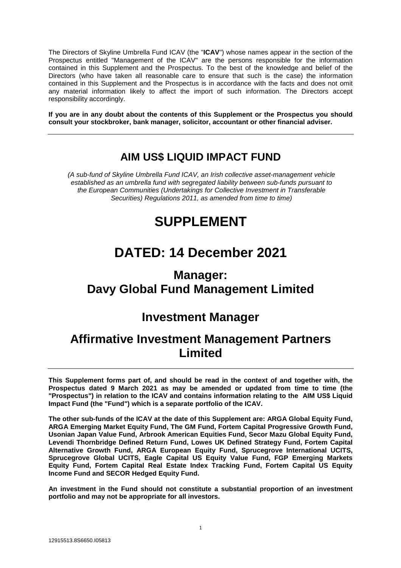The Directors of Skyline Umbrella Fund ICAV (the "**ICAV**") whose names appear in the section of the Prospectus entitled "Management of the ICAV" are the persons responsible for the information contained in this Supplement and the Prospectus. To the best of the knowledge and belief of the Directors (who have taken all reasonable care to ensure that such is the case) the information contained in this Supplement and the Prospectus is in accordance with the facts and does not omit any material information likely to affect the import of such information. The Directors accept responsibility accordingly.

**If you are in any doubt about the contents of this Supplement or the Prospectus you should consult your stockbroker, bank manager, solicitor, accountant or other financial adviser.**

## **AIM US\$ LIQUID IMPACT FUND**

*(A sub-fund of Skyline Umbrella Fund ICAV, an Irish collective asset-management vehicle established as an umbrella fund with segregated liability between sub-funds pursuant to the European Communities (Undertakings for Collective Investment in Transferable Securities) Regulations 2011, as amended from time to time)*

# **SUPPLEMENT**

# **DATED: 14 December 2021**

## **Manager: Davy Global Fund Management Limited**

## **Investment Manager**

## **Affirmative Investment Management Partners Limited**

**This Supplement forms part of, and should be read in the context of and together with, the Prospectus dated 9 March 2021 as may be amended or updated from time to time (the "Prospectus") in relation to the ICAV and contains information relating to the AIM US\$ Liquid Impact Fund (the "Fund") which is a separate portfolio of the ICAV.** 

**The other sub-funds of the ICAV at the date of this Supplement are: ARGA Global Equity Fund, ARGA Emerging Market Equity Fund, The GM Fund, Fortem Capital Progressive Growth Fund, Usonian Japan Value Fund, Arbrook American Equities Fund, Secor Mazu Global Equity Fund, Levendi Thornbridge Defined Return Fund, Lowes UK Defined Strategy Fund, Fortem Capital Alternative Growth Fund, ARGA European Equity Fund, Sprucegrove International UCITS, Sprucegrove Global UCITS, Eagle Capital US Equity Value Fund, FGP Emerging Markets Equity Fund, Fortem Capital Real Estate Index Tracking Fund, Fortem Capital US Equity Income Fund and SECOR Hedged Equity Fund.**

**An investment in the Fund should not constitute a substantial proportion of an investment portfolio and may not be appropriate for all investors.**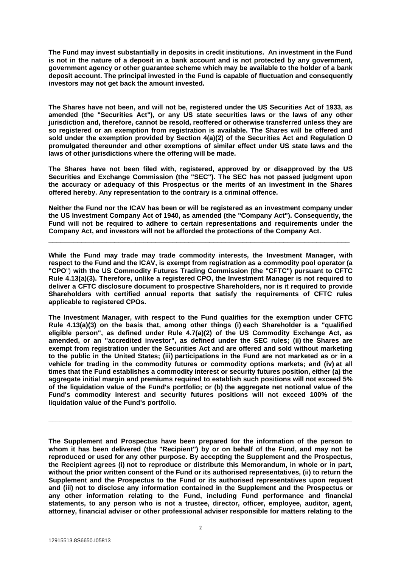**The Fund may invest substantially in deposits in credit institutions. An investment in the Fund is not in the nature of a deposit in a bank account and is not protected by any government, government agency or other guarantee scheme which may be available to the holder of a bank deposit account. The principal invested in the Fund is capable of fluctuation and consequently investors may not get back the amount invested.**

**The Shares have not been, and will not be, registered under the US Securities Act of 1933, as amended (the "Securities Act"), or any US state securities laws or the laws of any other jurisdiction and, therefore, cannot be resold, reoffered or otherwise transferred unless they are so registered or an exemption from registration is available. The Shares will be offered and sold under the exemption provided by Section 4(a)(2) of the Securities Act and Regulation D promulgated thereunder and other exemptions of similar effect under US state laws and the laws of other jurisdictions where the offering will be made.**

**The Shares have not been filed with, registered, approved by or disapproved by the US Securities and Exchange Commission (the "SEC"). The SEC has not passed judgment upon the accuracy or adequacy of this Prospectus or the merits of an investment in the Shares offered hereby. Any representation to the contrary is a criminal offence.**

**Neither the Fund nor the ICAV has been or will be registered as an investment company under the US Investment Company Act of 1940, as amended (the "Company Act"). Consequently, the Fund will not be required to adhere to certain representations and requirements under the Company Act, and investors will not be afforded the protections of the Company Act.** 

**\_\_\_\_\_\_\_\_\_\_\_\_\_\_\_\_\_\_\_\_\_\_\_\_\_\_\_\_\_\_\_\_\_\_\_\_\_\_\_\_\_\_\_\_\_\_\_\_\_\_\_\_\_\_\_\_\_\_\_\_\_\_\_\_\_\_\_\_\_\_\_\_\_**

**While the Fund may trade may trade commodity interests, the Investment Manager, with respect to the Fund and the ICAV, is exempt from registration as a commodity pool operator (a "CPO**") **with the US Commodity Futures Trading Commission (the "CFTC") pursuant to CFTC Rule 4.13(a)(3). Therefore, unlike a registered CPO, the Investment Manager is not required to deliver a CFTC disclosure document to prospective Shareholders, nor is it required to provide Shareholders with certified annual reports that satisfy the requirements of CFTC rules applicable to registered CPOs.**

**The Investment Manager, with respect to the Fund qualifies for the exemption under CFTC Rule 4.13(a)(3) on the basis that, among other things (i) each Shareholder is a "qualified eligible person", as defined under Rule 4.7(a)(2) of the US Commodity Exchange Act, as amended, or an "accredited investor", as defined under the SEC rules; (ii) the Shares are exempt from registration under the Securities Act and are offered and sold without marketing to the public in the United States; (iii) participations in the Fund are not marketed as or in a vehicle for trading in the commodity futures or commodity options markets; and (iv) at all times that the Fund establishes a commodity interest or security futures position, either (a) the aggregate initial margin and premiums required to establish such positions will not exceed 5% of the liquidation value of the Fund's portfolio; or (b) the aggregate net notional value of the Fund's commodity interest and security futures positions will not exceed 100% of the liquidation value of the Fund's portfolio.**

**The Supplement and Prospectus have been prepared for the information of the person to whom it has been delivered (the "Recipient") by or on behalf of the Fund, and may not be reproduced or used for any other purpose. By accepting the Supplement and the Prospectus, the Recipient agrees (i) not to reproduce or distribute this Memorandum, in whole or in part, without the prior written consent of the Fund or its authorised representatives, (ii) to return the Supplement and the Prospectus to the Fund or its authorised representatives upon request and (iii) not to disclose any information contained in the Supplement and the Prospectus or any other information relating to the Fund, including Fund performance and financial statements, to any person who is not a trustee, director, officer, employee, auditor, agent, attorney, financial adviser or other professional adviser responsible for matters relating to the** 

**\_\_\_\_\_\_\_\_\_\_\_\_\_\_\_\_\_\_\_\_\_\_\_\_\_\_\_\_\_\_\_\_\_\_\_\_\_\_\_\_\_\_\_\_\_\_\_\_\_\_\_\_\_\_\_\_\_\_\_\_\_\_\_\_\_\_\_\_\_\_\_\_\_\_\_\_\_\_\_\_\_**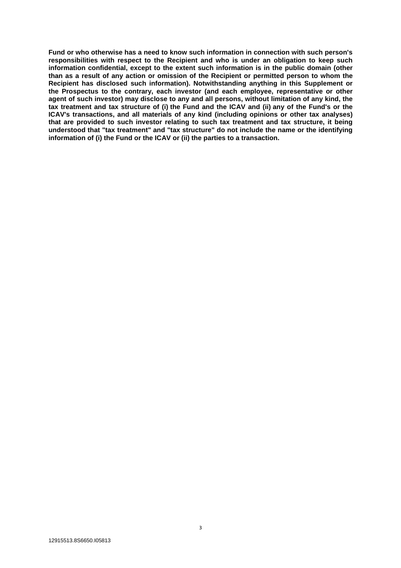**Fund or who otherwise has a need to know such information in connection with such person's responsibilities with respect to the Recipient and who is under an obligation to keep such information confidential, except to the extent such information is in the public domain (other than as a result of any action or omission of the Recipient or permitted person to whom the Recipient has disclosed such information). Notwithstanding anything in this Supplement or the Prospectus to the contrary, each investor (and each employee, representative or other agent of such investor) may disclose to any and all persons, without limitation of any kind, the tax treatment and tax structure of (i) the Fund and the ICAV and (ii) any of the Fund's or the ICAV's transactions, and all materials of any kind (including opinions or other tax analyses) that are provided to such investor relating to such tax treatment and tax structure, it being understood that "tax treatment" and "tax structure" do not include the name or the identifying information of (i) the Fund or the ICAV or (ii) the parties to a transaction.**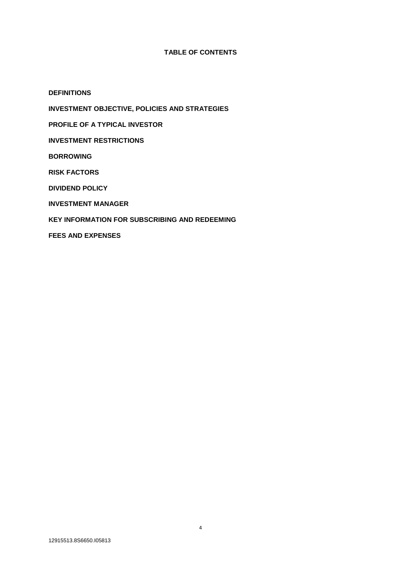## **TABLE OF CONTENTS**

**DEFINITIONS INVESTMENT OBJECTIVE, POLICIES AND STRATEGIES PROFILE OF A TYPICAL INVESTOR INVESTMENT RESTRICTIONS BORROWING RISK FACTORS DIVIDEND POLICY INVESTMENT MANAGER KEY INFORMATION FOR SUBSCRIBING AND REDEEMING FEES AND EXPENSES**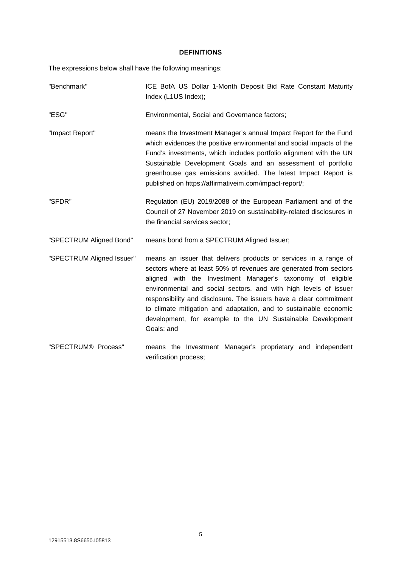### **DEFINITIONS**

The expressions below shall have the following meanings:

| "Benchmark"               | ICE BofA US Dollar 1-Month Deposit Bid Rate Constant Maturity<br>Index (L1US Index);                                                                                                                                                                                                                                                                                                                                                                                                           |
|---------------------------|------------------------------------------------------------------------------------------------------------------------------------------------------------------------------------------------------------------------------------------------------------------------------------------------------------------------------------------------------------------------------------------------------------------------------------------------------------------------------------------------|
| "ESG"                     | Environmental, Social and Governance factors;                                                                                                                                                                                                                                                                                                                                                                                                                                                  |
| "Impact Report"           | means the Investment Manager's annual Impact Report for the Fund<br>which evidences the positive environmental and social impacts of the<br>Fund's investments, which includes portfolio alignment with the UN<br>Sustainable Development Goals and an assessment of portfolio<br>greenhouse gas emissions avoided. The latest Impact Report is<br>published on https://affirmativeim.com/impact-report/;                                                                                      |
| "SFDR"                    | Regulation (EU) 2019/2088 of the European Parliament and of the<br>Council of 27 November 2019 on sustainability-related disclosures in<br>the financial services sector;                                                                                                                                                                                                                                                                                                                      |
| "SPECTRUM Aligned Bond"   | means bond from a SPECTRUM Aligned Issuer;                                                                                                                                                                                                                                                                                                                                                                                                                                                     |
| "SPECTRUM Aligned Issuer" | means an issuer that delivers products or services in a range of<br>sectors where at least 50% of revenues are generated from sectors<br>aligned with the Investment Manager's taxonomy of eligible<br>environmental and social sectors, and with high levels of issuer<br>responsibility and disclosure. The issuers have a clear commitment<br>to climate mitigation and adaptation, and to sustainable economic<br>development, for example to the UN Sustainable Development<br>Goals; and |
| "SPECTRUM® Process"       | means the Investment Manager's proprietary and independent<br>verification process;                                                                                                                                                                                                                                                                                                                                                                                                            |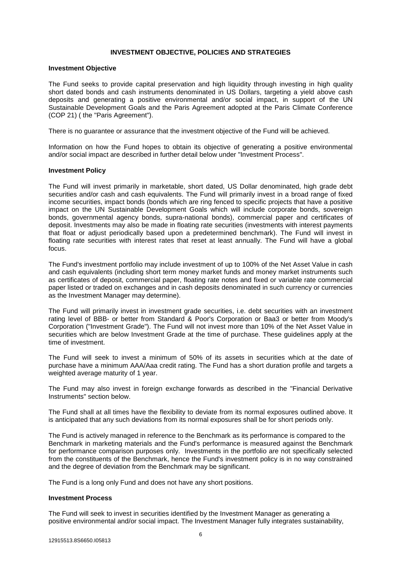### **INVESTMENT OBJECTIVE, POLICIES AND STRATEGIES**

#### **Investment Objective**

The Fund seeks to provide capital preservation and high liquidity through investing in high quality short dated bonds and cash instruments denominated in US Dollars, targeting a yield above cash deposits and generating a positive environmental and/or social impact, in support of the UN Sustainable Development Goals and the Paris Agreement adopted at the Paris Climate Conference (COP 21) ( the "Paris Agreement").

There is no guarantee or assurance that the investment objective of the Fund will be achieved.

Information on how the Fund hopes to obtain its objective of generating a positive environmental and/or social impact are described in further detail below under "Investment Process".

#### **Investment Policy**

The Fund will invest primarily in marketable, short dated, US Dollar denominated, high grade debt securities and/or cash and cash equivalents. The Fund will primarily invest in a broad range of fixed income securities, impact bonds (bonds which are ring fenced to specific projects that have a positive impact on the UN Sustainable Development Goals which will include corporate bonds, sovereign bonds, governmental agency bonds, supra-national bonds), commercial paper and certificates of deposit. Investments may also be made in floating rate securities (investments with interest payments that float or adjust periodically based upon a predetermined benchmark). The Fund will invest in floating rate securities with interest rates that reset at least annually. The Fund will have a global focus.

The Fund's investment portfolio may include investment of up to 100% of the Net Asset Value in cash and cash equivalents (including short term money market funds and money market instruments such as certificates of deposit, commercial paper, floating rate notes and fixed or variable rate commercial paper listed or traded on exchanges and in cash deposits denominated in such currency or currencies as the Investment Manager may determine).

The Fund will primarily invest in investment grade securities, i.e. debt securities with an investment rating level of BBB- or better from Standard & Poor's Corporation or Baa3 or better from Moody's Corporation ("Investment Grade"). The Fund will not invest more than 10% of the Net Asset Value in securities which are below Investment Grade at the time of purchase. These guidelines apply at the time of investment.

The Fund will seek to invest a minimum of 50% of its assets in securities which at the date of purchase have a minimum AAA/Aaa credit rating. The Fund has a short duration profile and targets a weighted average maturity of 1 year.

The Fund may also invest in foreign exchange forwards as described in the "Financial Derivative" Instruments" section below.

The Fund shall at all times have the flexibility to deviate from its normal exposures outlined above. It is anticipated that any such deviations from its normal exposures shall be for short periods only.

The Fund is actively managed in reference to the Benchmark as its performance is compared to the Benchmark in marketing materials and the Fund's performance is measured against the Benchmark for performance comparison purposes only. Investments in the portfolio are not specifically selected from the constituents of the Benchmark, hence the Fund's investment policy is in no way constrained and the degree of deviation from the Benchmark may be significant.

The Fund is a long only Fund and does not have any short positions.

#### **Investment Process**

The Fund will seek to invest in securities identified by the Investment Manager as generating a positive environmental and/or social impact. The Investment Manager fully integrates sustainability,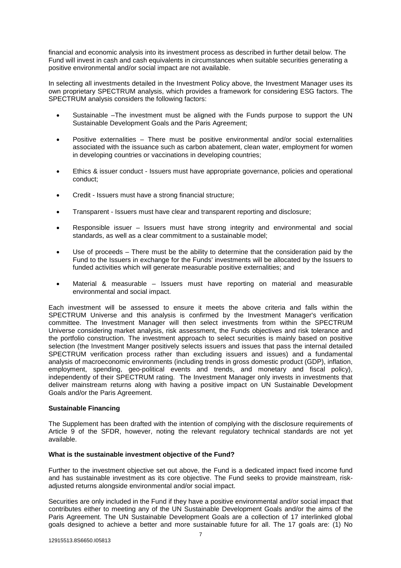financial and economic analysis into its investment process as described in further detail below. The Fund will invest in cash and cash equivalents in circumstances when suitable securities generating a positive environmental and/or social impact are not available.

In selecting all investments detailed in the Investment Policy above, the Investment Manager uses its own proprietary SPECTRUM analysis, which provides a framework for considering ESG factors. The SPECTRUM analysis considers the following factors:

- Sustainable –The investment must be aligned with the Funds purpose to support the UN Sustainable Development Goals and the Paris Agreement;
- Positive externalities There must be positive environmental and/or social externalities associated with the issuance such as carbon abatement, clean water, employment for women in developing countries or vaccinations in developing countries;
- Ethics & issuer conduct Issuers must have appropriate governance, policies and operational conduct;
- Credit Issuers must have a strong financial structure;
- Transparent Issuers must have clear and transparent reporting and disclosure;
- Responsible issuer Issuers must have strong integrity and environmental and social standards, as well as a clear commitment to a sustainable model;
- Use of proceeds There must be the ability to determine that the consideration paid by the Fund to the Issuers in exchange for the Funds' investments will be allocated by the Issuers to funded activities which will generate measurable positive externalities; and
- Material & measurable Issuers must have reporting on material and measurable environmental and social impact.

Each investment will be assessed to ensure it meets the above criteria and falls within the SPECTRUM Universe and this analysis is confirmed by the Investment Manager's verification committee. The Investment Manager will then select investments from within the SPECTRUM Universe considering market analysis, risk assessment, the Funds objectives and risk tolerance and the portfolio construction. The investment approach to select securities is mainly based on positive selection (the Investment Manger positively selects issuers and issues that pass the internal detailed SPECTRUM verification process rather than excluding issuers and issues) and a fundamental analysis of macroeconomic environments (including trends in gross domestic product (GDP), inflation, employment, spending, geo-political events and trends, and monetary and fiscal policy), independently of their SPECTRUM rating. The Investment Manager only invests in investments that deliver mainstream returns along with having a positive impact on UN Sustainable Development Goals and/or the Paris Agreement.

#### **Sustainable Financing**

The Supplement has been drafted with the intention of complying with the disclosure requirements of Article 9 of the SFDR, however, noting the relevant regulatory technical standards are not yet available.

#### **What is the sustainable investment objective of the Fund?**

Further to the investment objective set out above, the Fund is a dedicated impact fixed income fund and has sustainable investment as its core objective. The Fund seeks to provide mainstream, riskadjusted returns alongside environmental and/or social impact.

Securities are only included in the Fund if they have a positive environmental and/or social impact that contributes either to meeting any of the UN Sustainable Development Goals and/or the aims of the Paris Agreement. The UN Sustainable Development Goals are a collection of 17 interlinked global goals designed to achieve a better and more sustainable future for all. The 17 goals are: (1) No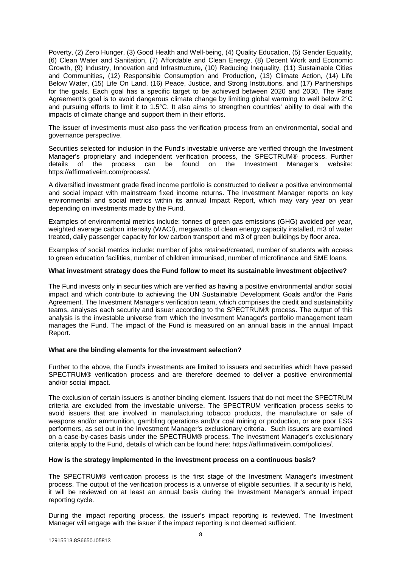Poverty, (2) Zero Hunger, (3) Good Health and Well-being, (4) Quality Education, (5) Gender Equality, (6) Clean Water and Sanitation, (7) Affordable and Clean Energy, (8) Decent Work and Economic Growth, (9) Industry, Innovation and Infrastructure, (10) Reducing Inequality, (11) Sustainable Cities and Communities, (12) Responsible Consumption and Production, (13) Climate Action, (14) Life Below Water, (15) Life On Land, (16) Peace, Justice, and Strong Institutions, and (17) Partnerships for the goals. Each goal has a specific target to be achieved between 2020 and 2030. The Paris Agreement's goal is to avoid dangerous climate change by limiting global warming to well below 2°C and pursuing efforts to limit it to 1.5°C. It also aims to strengthen countries' ability to deal with the impacts of climate change and support them in their efforts.

The issuer of investments must also pass the verification process from an environmental, social and governance perspective.

Securities selected for inclusion in the Fund's investable universe are verified through the Investment Manager's proprietary and independent verification process, the SPECTRUM® process. Further details of the process can be found on the Investment Manager's website: details of the process can be found on the Investment Manager's website: https://affirmativeim.com/process/.

A diversified investment grade fixed income portfolio is constructed to deliver a positive environmental and social impact with mainstream fixed income returns. The Investment Manager reports on key environmental and social metrics within its annual Impact Report, which may vary year on year depending on investments made by the Fund.

Examples of environmental metrics include: tonnes of green gas emissions (GHG) avoided per year, weighted average carbon intensity (WACI), megawatts of clean energy capacity installed, m3 of water treated, daily passenger capacity for low carbon transport and m3 of green buildings by floor area.

Examples of social metrics include: number of jobs retained/created, number of students with access to green education facilities, number of children immunised, number of microfinance and SME loans.

#### **What investment strategy does the Fund follow to meet its sustainable investment objective?**

The Fund invests only in securities which are verified as having a positive environmental and/or social impact and which contribute to achieving the UN Sustainable Development Goals and/or the Paris Agreement. The Investment Managers verification team, which comprises the credit and sustainability teams, analyses each security and issuer according to the SPECTRUM® process. The output of this analysis is the investable universe from which the Investment Manager's portfolio management team manages the Fund. The impact of the Fund is measured on an annual basis in the annual Impact Report.

#### **What are the binding elements for the investment selection?**

Further to the above, the Fund's investments are limited to issuers and securities which have passed SPECTRUM® verification process and are therefore deemed to deliver a positive environmental and/or social impact.

The exclusion of certain issuers is another binding element. Issuers that do not meet the SPECTRUM criteria are excluded from the investable universe. The SPECTRUM verification process seeks to avoid issuers that are involved in manufacturing tobacco products, the manufacture or sale of weapons and/or ammunition, gambling operations and/or coal mining or production, or are poor ESG performers, as set out in the Investment Manager's exclusionary criteria. Such issuers are examined on a case-by-cases basis under the SPECTRUM® process. The Investment Manager's exclusionary criteria apply to the Fund, details of which can be found here: https://affirmativeim.com/policies/.

#### **How is the strategy implemented in the investment process on a continuous basis?**

The SPECTRUM® verification process is the first stage of the Investment Manager's investment process. The output of the verification process is a universe of eligible securities. If a security is held, it will be reviewed on at least an annual basis during the Investment Manager's annual impact reporting cycle.

During the impact reporting process, the issuer's impact reporting is reviewed. The Investment Manager will engage with the issuer if the impact reporting is not deemed sufficient.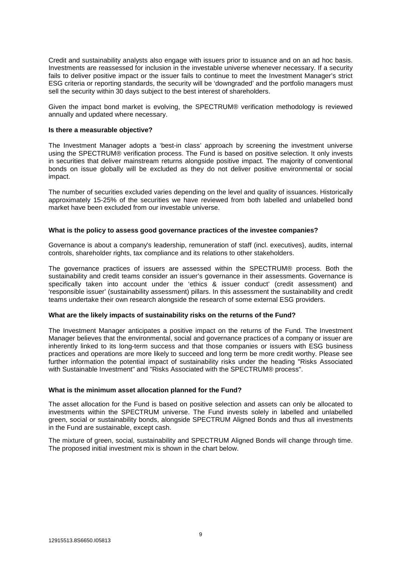Credit and sustainability analysts also engage with issuers prior to issuance and on an ad hoc basis. Investments are reassessed for inclusion in the investable universe whenever necessary. If a security fails to deliver positive impact or the issuer fails to continue to meet the Investment Manager's strict ESG criteria or reporting standards, the security will be 'downgraded' and the portfolio managers must sell the security within 30 days subject to the best interest of shareholders.

Given the impact bond market is evolving, the SPECTRUM® verification methodology is reviewed annually and updated where necessary.

#### **Is there a measurable objective?**

The Investment Manager adopts a 'best-in class' approach by screening the investment universe using the SPECTRUM® verification process. The Fund is based on positive selection. It only invests in securities that deliver mainstream returns alongside positive impact. The majority of conventional bonds on issue globally will be excluded as they do not deliver positive environmental or social impact.

The number of securities excluded varies depending on the level and quality of issuances. Historically approximately 15-25% of the securities we have reviewed from both labelled and unlabelled bond market have been excluded from our investable universe.

#### **What is the policy to assess good governance practices of the investee companies?**

Governance is about a company's leadership, remuneration of staff (incl. executives}, audits, internal controls, shareholder rights, tax compliance and its relations to other stakeholders.

The governance practices of issuers are assessed within the SPECTRUM® process. Both the sustainability and credit teams consider an issuer's governance in their assessments. Governance is specifically taken into account under the 'ethics & issuer conduct' (credit assessment) and 'responsible issuer' (sustainability assessment) pillars. In this assessment the sustainability and credit teams undertake their own research alongside the research of some external ESG providers.

#### **What are the likely impacts of sustainability risks on the returns of the Fund?**

The Investment Manager anticipates a positive impact on the returns of the Fund. The Investment Manager believes that the environmental, social and governance practices of a company or issuer are inherently linked to its long-term success and that those companies or issuers with ESG business practices and operations are more likely to succeed and long term be more credit worthy. Please see further information the potential impact of sustainability risks under the heading "Risks Associated with Sustainable Investment" and "Risks Associated with the SPECTRUM® process".

#### **What is the minimum asset allocation planned for the Fund?**

The asset allocation for the Fund is based on positive selection and assets can only be allocated to investments within the SPECTRUM universe. The Fund invests solely in labelled and unlabelled green, social or sustainability bonds, alongside SPECTRUM Aligned Bonds and thus all investments in the Fund are sustainable, except cash.

The mixture of green, social, sustainability and SPECTRUM Aligned Bonds will change through time. The proposed initial investment mix is shown in the chart below.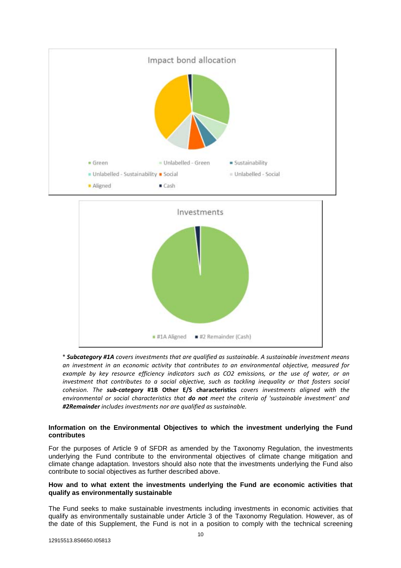



\* *Subcategory #1A covers investments that are qualified as sustainable. A sustainable investment means an investment in an economic activity that contributes to an environmental objective, measured for example by key resource efficiency indicators such as CO2 emissions, or the use of water, or an investment that contributes to a social objective, such as tackling inequality or that fosters social cohesion. The sub-category* **#1B Other E/S characteristics** *covers investments aligned with the environmental or social characteristics that do not meet the criteria of 'sustainable investment' and #2Remainder includes investments nor are qualified as sustainable.*

### **Information on the Environmental Objectives to which the investment underlying the Fund contributes**

For the purposes of Article 9 of SFDR as amended by the Taxonomy Regulation, the investments underlying the Fund contribute to the environmental objectives of climate change mitigation and climate change adaptation. Investors should also note that the investments underlying the Fund also contribute to social objectives as further described above.

### **How and to what extent the investments underlying the Fund are economic activities that qualify as environmentally sustainable**

The Fund seeks to make sustainable investments including investments in economic activities that qualify as environmentally sustainable under Article 3 of the Taxonomy Regulation. However, as of the date of this Supplement, the Fund is not in a position to comply with the technical screening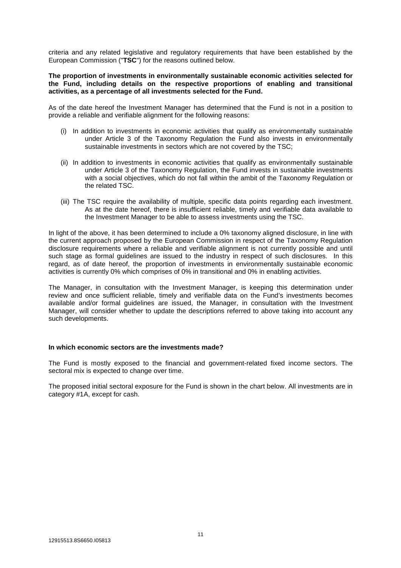criteria and any related legislative and regulatory requirements that have been established by the European Commission ("**TSC**") for the reasons outlined below.

#### **The proportion of investments in environmentally sustainable economic activities selected for the Fund, including details on the respective proportions of enabling and transitional activities, as a percentage of all investments selected for the Fund.**

As of the date hereof the Investment Manager has determined that the Fund is not in a position to provide a reliable and verifiable alignment for the following reasons:

- (i) In addition to investments in economic activities that qualify as environmentally sustainable under Article 3 of the Taxonomy Regulation the Fund also invests in environmentally sustainable investments in sectors which are not covered by the TSC;
- (ii) In addition to investments in economic activities that qualify as environmentally sustainable under Article 3 of the Taxonomy Regulation, the Fund invests in sustainable investments with a social objectives, which do not fall within the ambit of the Taxonomy Regulation or the related TSC.
- (iii) The TSC require the availability of multiple, specific data points regarding each investment. As at the date hereof, there is insufficient reliable, timely and verifiable data available to the Investment Manager to be able to assess investments using the TSC.

In light of the above, it has been determined to include a 0% taxonomy aligned disclosure, in line with the current approach proposed by the European Commission in respect of the Taxonomy Regulation disclosure requirements where a reliable and verifiable alignment is not currently possible and until such stage as formal guidelines are issued to the industry in respect of such disclosures. In this regard, as of date hereof, the proportion of investments in environmentally sustainable economic activities is currently 0% which comprises of 0% in transitional and 0% in enabling activities.

The Manager, in consultation with the Investment Manager, is keeping this determination under review and once sufficient reliable, timely and verifiable data on the Fund's investments becomes available and/or formal guidelines are issued, the Manager, in consultation with the Investment Manager, will consider whether to update the descriptions referred to above taking into account any such developments.

#### **In which economic sectors are the investments made?**

The Fund is mostly exposed to the financial and government-related fixed income sectors. The sectoral mix is expected to change over time.

The proposed initial sectoral exposure for the Fund is shown in the chart below. All investments are in category #1A, except for cash.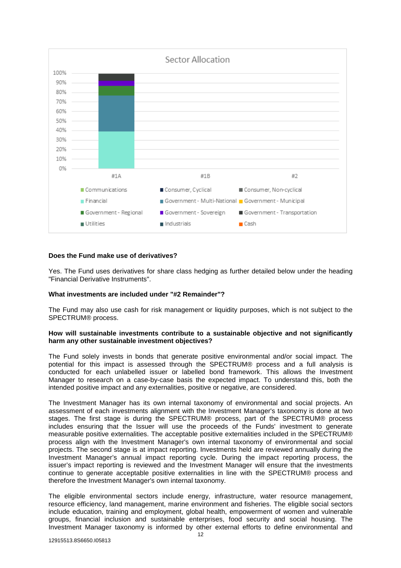

#### **Does the Fund make use of derivatives?**

Yes. The Fund uses derivatives for share class hedging as further detailed below under the heading "Financial Derivative Instruments".

#### **What investments are included under "#2 Remainder"?**

The Fund may also use cash for risk management or liquidity purposes, which is not subject to the SPECTRUM® process.

#### **How will sustainable investments contribute to a sustainable objective and not significantly harm any other sustainable investment objectives?**

The Fund solely invests in bonds that generate positive environmental and/or social impact. The potential for this impact is assessed through the SPECTRUM® process and a full analysis is conducted for each unlabelled issuer or labelled bond framework. This allows the Investment Manager to research on a case-by-case basis the expected impact. To understand this, both the intended positive impact and any externalities, positive or negative, are considered.

The Investment Manager has its own internal taxonomy of environmental and social projects. An assessment of each investments alignment with the Investment Manager's taxonomy is done at two stages. The first stage is during the SPECTRUM® process, part of the SPECTRUM® process includes ensuring that the Issuer will use the proceeds of the Funds' investment to generate measurable positive externalities. The acceptable positive externalities included in the SPECTRUM® process align with the Investment Manager's own internal taxonomy of environmental and social projects. The second stage is at impact reporting. Investments held are reviewed annually during the Investment Manager's annual impact reporting cycle. During the impact reporting process, the issuer's impact reporting is reviewed and the Investment Manager will ensure that the investments continue to generate acceptable positive externalities in line with the SPECTRUM® process and therefore the Investment Manager's own internal taxonomy.

The eligible environmental sectors include energy, infrastructure, water resource management, resource efficiency, land management, marine environment and fisheries. The eligible social sectors include education, training and employment, global health, empowerment of women and vulnerable groups, financial inclusion and sustainable enterprises, food security and social housing. The Investment Manager taxonomy is informed by other external efforts to define environmental and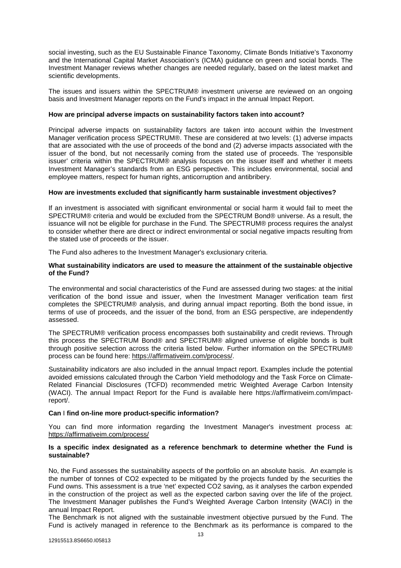social investing, such as the EU Sustainable Finance Taxonomy, Climate Bonds Initiative's Taxonomy and the International Capital Market Association's (ICMA) guidance on green and social bonds. The Investment Manager reviews whether changes are needed regularly, based on the latest market and scientific developments.

The issues and issuers within the SPECTRUM® investment universe are reviewed on an ongoing basis and Investment Manager reports on the Fund's impact in the annual Impact Report.

#### **How are principal adverse impacts on sustainability factors taken into account?**

Principal adverse impacts on sustainability factors are taken into account within the Investment Manager verification process SPECTRUM®. These are considered at two levels: (1) adverse impacts that are associated with the use of proceeds of the bond and (2) adverse impacts associated with the issuer of the bond, but not necessarily coming from the stated use of proceeds. The 'responsible issuer' criteria within the SPECTRUM® analysis focuses on the issuer itself and whether it meets Investment Manager's standards from an ESG perspective. This includes environmental, social and employee matters, respect for human rights, anticorruption and antibribery.

#### **How are investments excluded that significantly harm sustainable investment objectives?**

If an investment is associated with significant environmental or social harm it would fail to meet the SPECTRUM® criteria and would be excluded from the SPECTRUM Bond® universe. As a result, the issuance will not be eligible for purchase in the Fund. The SPECTRUM® process requires the analyst to consider whether there are direct or indirect environmental or social negative impacts resulting from the stated use of proceeds or the issuer.

The Fund also adheres to the Investment Manager's exclusionary criteria.

#### **What sustainability indicators are used to measure the attainment of the sustainable objective of the Fund?**

The environmental and social characteristics of the Fund are assessed during two stages: at the initial verification of the bond issue and issuer, when the Investment Manager verification team first completes the SPECTRUM® analysis, and during annual impact reporting. Both the bond issue, in terms of use of proceeds, and the issuer of the bond, from an ESG perspective, are independently assessed.

The SPECTRUM® verification process encompasses both sustainability and credit reviews. Through this process the SPECTRUM Bond® and SPECTRUM® aligned universe of eligible bonds is built through positive selection across the criteria listed below. Further information on the SPECTRUM® process can be found here: https://affirmativeim.com/process/.

Sustainability indicators are also included in the annual Impact report. Examples include the potential avoided emissions calculated through the Carbon Yield methodology and the Task Force on Climate-Related Financial Disclosures (TCFD) recommended metric Weighted Average Carbon Intensity (WACI). The annual Impact Report for the Fund is available here https://affirmativeim.com/impactreport/.

#### **Can** I **find on-line more product-specific information?**

You can find more information regarding the Investment Manager's investment process at: https://affirmativeim.com/process/

#### **Is a specific index designated as a reference benchmark to determine whether the Fund is sustainable?**

No, the Fund assesses the sustainability aspects of the portfolio on an absolute basis. An example is the number of tonnes of CO2 expected to be mitigated by the projects funded by the securities the Fund owns. This assessment is a true 'net' expected CO2 saving, as it analyses the carbon expended in the construction of the project as well as the expected carbon saving over the life of the project. The Investment Manager publishes the Fund's Weighted Average Carbon Intensity (WACI) in the annual Impact Report.

The Benchmark is not aligned with the sustainable investment objective pursued by the Fund. The Fund is actively managed in reference to the Benchmark as its performance is compared to the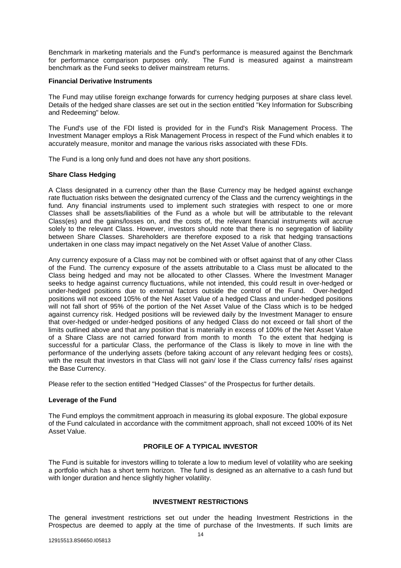Benchmark in marketing materials and the Fund's performance is measured against the Benchmark for performance comparison purposes only. The Fund is measured against a mainstream benchmark as the Fund seeks to deliver mainstream returns.

#### **Financial Derivative Instruments**

The Fund may utilise foreign exchange forwards for currency hedging purposes at share class level. Details of the hedged share classes are set out in the section entitled "Key Information for Subscribing and Redeeming" below.

The Fund's use of the FDI listed is provided for in the Fund's Risk Management Process. The Investment Manager employs a Risk Management Process in respect of the Fund which enables it to accurately measure, monitor and manage the various risks associated with these FDIs.

The Fund is a long only fund and does not have any short positions.

#### **Share Class Hedging**

A Class designated in a currency other than the Base Currency may be hedged against exchange rate fluctuation risks between the designated currency of the Class and the currency weightings in the fund. Any financial instruments used to implement such strategies with respect to one or more Classes shall be assets/liabilities of the Fund as a whole but will be attributable to the relevant Class(es) and the gains/losses on, and the costs of, the relevant financial instruments will accrue solely to the relevant Class. However, investors should note that there is no segregation of liability between Share Classes. Shareholders are therefore exposed to a risk that hedging transactions undertaken in one class may impact negatively on the Net Asset Value of another Class.

Any currency exposure of a Class may not be combined with or offset against that of any other Class of the Fund. The currency exposure of the assets attributable to a Class must be allocated to the Class being hedged and may not be allocated to other Classes. Where the Investment Manager seeks to hedge against currency fluctuations, while not intended, this could result in over-hedged or under-hedged positions due to external factors outside the control of the Fund. Over-hedged positions will not exceed 105% of the Net Asset Value of a hedged Class and under-hedged positions will not fall short of 95% of the portion of the Net Asset Value of the Class which is to be hedged against currency risk. Hedged positions will be reviewed daily by the Investment Manager to ensure that over-hedged or under-hedged positions of any hedged Class do not exceed or fall short of the limits outlined above and that any position that is materially in excess of 100% of the Net Asset Value of a Share Class are not carried forward from month to month To the extent that hedging is successful for a particular Class, the performance of the Class is likely to move in line with the performance of the underlying assets (before taking account of any relevant hedging fees or costs), with the result that investors in that Class will not gain/lose if the Class currency falls/ rises against the Base Currency.

Please refer to the section entitled "Hedged Classes" of the Prospectus for further details.

#### **Leverage of the Fund**

The Fund employs the commitment approach in measuring its global exposure. The global exposure of the Fund calculated in accordance with the commitment approach, shall not exceed 100% of its Net Asset Value.

### **PROFILE OF A TYPICAL INVESTOR**

The Fund is suitable for investors willing to tolerate a low to medium level of volatility who are seeking a portfolio which has a short term horizon. The fund is designed as an alternative to a cash fund but with longer duration and hence slightly higher volatility.

#### **INVESTMENT RESTRICTIONS**

The general investment restrictions set out under the heading Investment Restrictions in the Prospectus are deemed to apply at the time of purchase of the Investments. If such limits are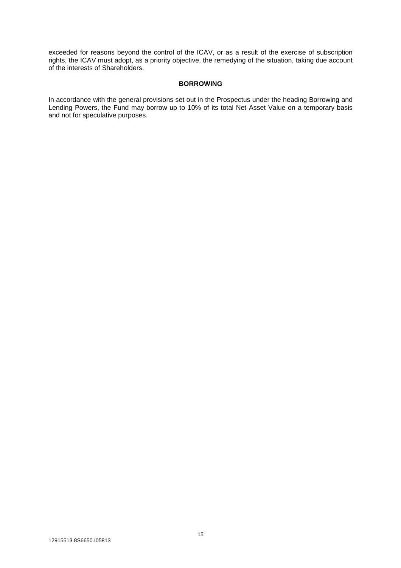exceeded for reasons beyond the control of the ICAV, or as a result of the exercise of subscription rights, the ICAV must adopt, as a priority objective, the remedying of the situation, taking due account of the interests of Shareholders.

#### **BORROWING**

In accordance with the general provisions set out in the Prospectus under the heading Borrowing and Lending Powers, the Fund may borrow up to 10% of its total Net Asset Value on a temporary basis and not for speculative purposes.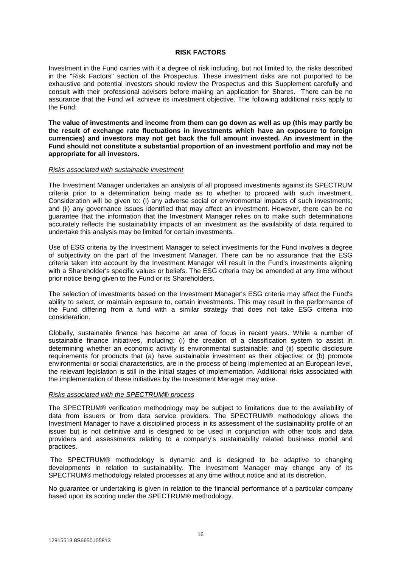#### **RISK FACTORS**

Investment in the Fund carries with it a degree of risk including, but not limited to, the risks described in the "Risk Factors" section of the Prospectus. These investment risks are not purported to be exhaustive and potential investors should review the Prospectus and this Supplement carefully and consult with their professional advisers before making an application for Shares. There can be no assurance that the Fund will achieve its investment objective. The following additional risks apply to the Fund:

**The value of investments and income from them can go down as well as up (this may partly be the result of exchange rate fluctuations in investments which have an exposure to foreign currencies) and investors may not get back the full amount invested. An investment in the Fund should not constitute a substantial proportion of an investment portfolio and may not be appropriate for all investors.** 

#### *Risks associated with sustainable investment*

The Investment Manager undertakes an analysis of all proposed investments against its SPECTRUM criteria prior to a determination being made as to whether to proceed with such investment. Consideration will be given to: (i) any adverse social or environmental impacts of such investments; and (ii) any governance issues identified that may affect an investment. However, there can be no guarantee that the information that the Investment Manager relies on to make such determinations accurately reflects the sustainability impacts of an investment as the availability of data required to undertake this analysis may be limited for certain investments.

Use of ESG criteria by the Investment Manager to select investments for the Fund involves a degree of subjectivity on the part of the Investment Manager. There can be no assurance that the ESG criteria taken into account by the Investment Manager will result in the Fund's investments aligning with a Shareholder's specific values or beliefs. The ESG criteria may be amended at any time without prior notice being given to the Fund or its Shareholders.

The selection of investments based on the Investment Manager's ESG criteria may affect the Fund's ability to select, or maintain exposure to, certain investments. This may result in the performance of the Fund differing from a fund with a similar strategy that does not take ESG criteria into consideration.

Globally, sustainable finance has become an area of focus in recent years. While a number of sustainable finance initiatives, including: (i) the creation of a classification system to assist in determining whether an economic activity is environmental sustainable; and (ii) specific disclosure requirements for products that (a) have sustainable investment as their objective; or (b) promote environmental or social characteristics, are in the process of being implemented at an European level, the relevant legislation is still in the initial stages of implementation. Additional risks associated with the implementation of these initiatives by the Investment Manager may arise.

### *Risks associated with the SPECTRUM® process*

The SPECTRUM® verification methodology may be subject to limitations due to the availability of data from issuers or from data service providers. The SPECTRUM® methodology allows the Investment Manager to have a disciplined process in its assessment of the sustainability profile of an issuer but is not definitive and is designed to be used in conjunction with other tools and data providers and assessments relating to a company's sustainability related business model and practices.

 The SPECTRUM® methodology is dynamic and is designed to be adaptive to changing developments in relation to sustainability. The Investment Manager may change any of its SPECTRUM® methodology related processes at any time without notice and at its discretion.

No guarantee or undertaking is given in relation to the financial performance of a particular company based upon its scoring under the SPECTRUM® methodology.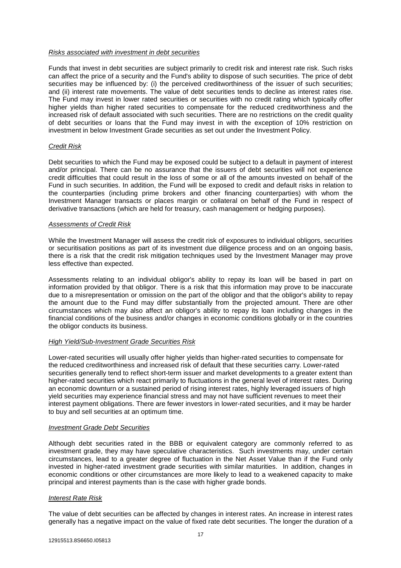#### *Risks associated with investment in debt securities*

Funds that invest in debt securities are subject primarily to credit risk and interest rate risk. Such risks can affect the price of a security and the Fund's ability to dispose of such securities. The price of debt securities may be influenced by: (i) the perceived creditworthiness of the issuer of such securities; and (ii) interest rate movements. The value of debt securities tends to decline as interest rates rise. The Fund may invest in lower rated securities or securities with no credit rating which typically offer higher yields than higher rated securities to compensate for the reduced creditworthiness and the increased risk of default associated with such securities. There are no restrictions on the credit quality of debt securities or loans that the Fund may invest in with the exception of 10% restriction on investment in below Investment Grade securities as set out under the Investment Policy.

### *Credit Risk*

Debt securities to which the Fund may be exposed could be subject to a default in payment of interest and/or principal. There can be no assurance that the issuers of debt securities will not experience credit difficulties that could result in the loss of some or all of the amounts invested on behalf of the Fund in such securities. In addition, the Fund will be exposed to credit and default risks in relation to the counterparties (including prime brokers and other financing counterparties) with whom the Investment Manager transacts or places margin or collateral on behalf of the Fund in respect of derivative transactions (which are held for treasury, cash management or hedging purposes).

### *Assessments of Credit Risk*

While the Investment Manager will assess the credit risk of exposures to individual obligors, securities or securitisation positions as part of its investment due diligence process and on an ongoing basis, there is a risk that the credit risk mitigation techniques used by the Investment Manager may prove less effective than expected.

Assessments relating to an individual obligor's ability to repay its loan will be based in part on information provided by that obligor. There is a risk that this information may prove to be inaccurate due to a misrepresentation or omission on the part of the obligor and that the obligor's ability to repay the amount due to the Fund may differ substantially from the projected amount. There are other circumstances which may also affect an obligor's ability to repay its loan including changes in the financial conditions of the business and/or changes in economic conditions globally or in the countries the obligor conducts its business.

## *High Yield/Sub-Investment Grade Securities Risk*

Lower-rated securities will usually offer higher yields than higher-rated securities to compensate for the reduced creditworthiness and increased risk of default that these securities carry. Lower-rated securities generally tend to reflect short-term issuer and market developments to a greater extent than higher-rated securities which react primarily to fluctuations in the general level of interest rates. During an economic downturn or a sustained period of rising interest rates, highly leveraged issuers of high yield securities may experience financial stress and may not have sufficient revenues to meet their interest payment obligations. There are fewer investors in lower-rated securities, and it may be harder to buy and sell securities at an optimum time.

#### *Investment Grade Debt Securities*

Although debt securities rated in the BBB or equivalent category are commonly referred to as investment grade, they may have speculative characteristics. Such investments may, under certain circumstances, lead to a greater degree of fluctuation in the Net Asset Value than if the Fund only invested in higher-rated investment grade securities with similar maturities. In addition, changes in economic conditions or other circumstances are more likely to lead to a weakened capacity to make principal and interest payments than is the case with higher grade bonds.

#### *Interest Rate Risk*

The value of debt securities can be affected by changes in interest rates. An increase in interest rates generally has a negative impact on the value of fixed rate debt securities. The longer the duration of a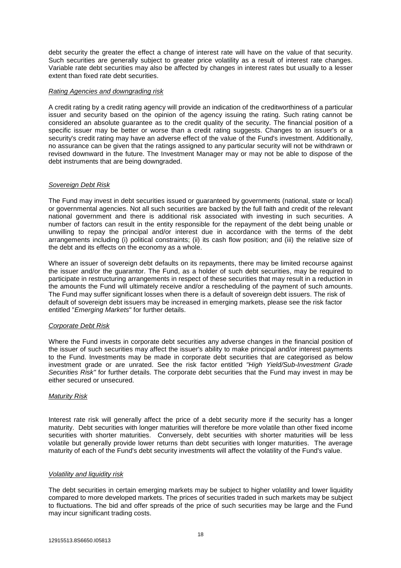debt security the greater the effect a change of interest rate will have on the value of that security. Such securities are generally subject to greater price volatility as a result of interest rate changes. Variable rate debt securities may also be affected by changes in interest rates but usually to a lesser extent than fixed rate debt securities.

#### *Rating Agencies and downgrading risk*

A credit rating by a credit rating agency will provide an indication of the creditworthiness of a particular issuer and security based on the opinion of the agency issuing the rating. Such rating cannot be considered an absolute guarantee as to the credit quality of the security. The financial position of a specific issuer may be better or worse than a credit rating suggests. Changes to an issuer's or a security's credit rating may have an adverse effect of the value of the Fund's investment. Additionally, no assurance can be given that the ratings assigned to any particular security will not be withdrawn or revised downward in the future. The Investment Manager may or may not be able to dispose of the debt instruments that are being downgraded.

#### *Sovereign Debt Risk*

The Fund may invest in debt securities issued or guaranteed by governments (national, state or local) or governmental agencies. Not all such securities are backed by the full faith and credit of the relevant national government and there is additional risk associated with investing in such securities. A number of factors can result in the entity responsible for the repayment of the debt being unable or unwilling to repay the principal and/or interest due in accordance with the terms of the debt arrangements including (i) political constraints; (ii) its cash flow position; and (iii) the relative size of the debt and its effects on the economy as a whole.

Where an issuer of sovereign debt defaults on its repayments, there may be limited recourse against the issuer and/or the guarantor. The Fund, as a holder of such debt securities, may be required to participate in restructuring arrangements in respect of these securities that may result in a reduction in the amounts the Fund will ultimately receive and/or a rescheduling of the payment of such amounts. The Fund may suffer significant losses when there is a default of sovereign debt issuers. The risk of default of sovereign debt issuers may be increased in emerging markets, please see the risk factor entitled "*Emerging Markets*" for further details.

#### *Corporate Debt Risk*

Where the Fund invests in corporate debt securities any adverse changes in the financial position of the issuer of such securities may affect the issuer's ability to make principal and/or interest payments to the Fund. Investments may be made in corporate debt securities that are categorised as below investment grade or are unrated. See the risk factor entitled *"High Yield/Sub-Investment Grade Securities Risk"* for further details. The corporate debt securities that the Fund may invest in may be either secured or unsecured.

#### *Maturity Risk*

Interest rate risk will generally affect the price of a debt security more if the security has a longer maturity. Debt securities with longer maturities will therefore be more volatile than other fixed income securities with shorter maturities. Conversely, debt securities with shorter maturities will be less volatile but generally provide lower returns than debt securities with longer maturities. The average maturity of each of the Fund's debt security investments will affect the volatility of the Fund's value.

#### *Volatility and liquidity risk*

The debt securities in certain emerging markets may be subject to higher volatility and lower liquidity compared to more developed markets. The prices of securities traded in such markets may be subject to fluctuations. The bid and offer spreads of the price of such securities may be large and the Fund may incur significant trading costs.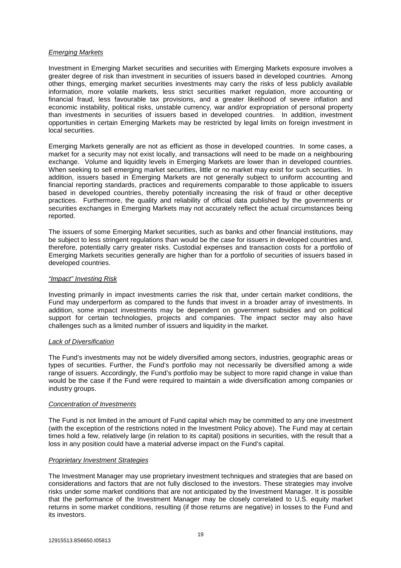#### *Emerging Markets*

Investment in Emerging Market securities and securities with Emerging Markets exposure involves a greater degree of risk than investment in securities of issuers based in developed countries. Among other things, emerging market securities investments may carry the risks of less publicly available information, more volatile markets, less strict securities market regulation, more accounting or financial fraud, less favourable tax provisions, and a greater likelihood of severe inflation and economic instability, political risks, unstable currency, war and/or expropriation of personal property than investments in securities of issuers based in developed countries. In addition, investment opportunities in certain Emerging Markets may be restricted by legal limits on foreign investment in local securities.

Emerging Markets generally are not as efficient as those in developed countries. In some cases, a market for a security may not exist locally, and transactions will need to be made on a neighbouring exchange. Volume and liquidity levels in Emerging Markets are lower than in developed countries. When seeking to sell emerging market securities, little or no market may exist for such securities. In addition, issuers based in Emerging Markets are not generally subject to uniform accounting and financial reporting standards, practices and requirements comparable to those applicable to issuers based in developed countries, thereby potentially increasing the risk of fraud or other deceptive practices. Furthermore, the quality and reliability of official data published by the governments or securities exchanges in Emerging Markets may not accurately reflect the actual circumstances being reported.

The issuers of some Emerging Market securities, such as banks and other financial institutions, may be subject to less stringent regulations than would be the case for issuers in developed countries and, therefore, potentially carry greater risks. Custodial expenses and transaction costs for a portfolio of Emerging Markets securities generally are higher than for a portfolio of securities of issuers based in developed countries.

#### *"Impact" Investing Risk*

Investing primarily in impact investments carries the risk that, under certain market conditions, the Fund may underperform as compared to the funds that invest in a broader array of investments. In addition, some impact investments may be dependent on government subsidies and on political support for certain technologies, projects and companies. The impact sector may also have challenges such as a limited number of issuers and liquidity in the market.

#### *Lack of Diversification*

The Fund's investments may not be widely diversified among sectors, industries, geographic areas or types of securities. Further, the Fund's portfolio may not necessarily be diversified among a wide range of issuers. Accordingly, the Fund's portfolio may be subject to more rapid change in value than would be the case if the Fund were required to maintain a wide diversification among companies or industry groups.

#### *Concentration of Investments*

The Fund is not limited in the amount of Fund capital which may be committed to any one investment (with the exception of the restrictions noted in the Investment Policy above). The Fund may at certain times hold a few, relatively large (in relation to its capital) positions in securities, with the result that a loss in any position could have a material adverse impact on the Fund's capital.

#### *Proprietary Investment Strategies*

The Investment Manager may use proprietary investment techniques and strategies that are based on considerations and factors that are not fully disclosed to the investors. These strategies may involve risks under some market conditions that are not anticipated by the Investment Manager. It is possible that the performance of the Investment Manager may be closely correlated to U.S. equity market returns in some market conditions, resulting (if those returns are negative) in losses to the Fund and its investors.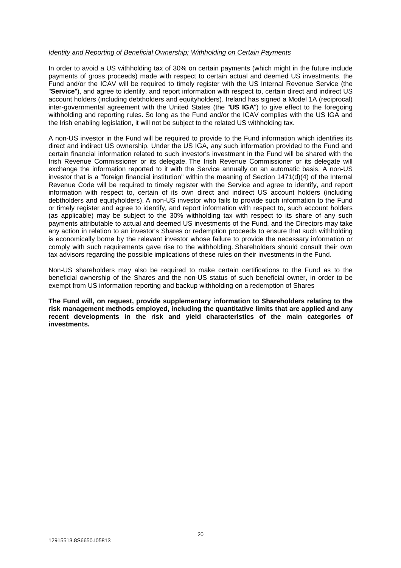#### *Identity and Reporting of Beneficial Ownership; Withholding on Certain Payments*

In order to avoid a US withholding tax of 30% on certain payments (which might in the future include payments of gross proceeds) made with respect to certain actual and deemed US investments, the Fund and/or the ICAV will be required to timely register with the US Internal Revenue Service (the "**Service**"), and agree to identify, and report information with respect to, certain direct and indirect US account holders (including debtholders and equityholders). Ireland has signed a Model 1A (reciprocal) inter-governmental agreement with the United States (the "**US IGA**") to give effect to the foregoing withholding and reporting rules. So long as the Fund and/or the ICAV complies with the US IGA and the Irish enabling legislation, it will not be subject to the related US withholding tax.

A non-US investor in the Fund will be required to provide to the Fund information which identifies its direct and indirect US ownership. Under the US IGA, any such information provided to the Fund and certain financial information related to such investor's investment in the Fund will be shared with the Irish Revenue Commissioner or its delegate. The Irish Revenue Commissioner or its delegate will exchange the information reported to it with the Service annually on an automatic basis. A non-US investor that is a "foreign financial institution" within the meaning of Section 1471(d)(4) of the Internal Revenue Code will be required to timely register with the Service and agree to identify, and report information with respect to, certain of its own direct and indirect US account holders (including debtholders and equityholders). A non-US investor who fails to provide such information to the Fund or timely register and agree to identify, and report information with respect to, such account holders (as applicable) may be subject to the 30% withholding tax with respect to its share of any such payments attributable to actual and deemed US investments of the Fund, and the Directors may take any action in relation to an investor's Shares or redemption proceeds to ensure that such withholding is economically borne by the relevant investor whose failure to provide the necessary information or comply with such requirements gave rise to the withholding. Shareholders should consult their own tax advisors regarding the possible implications of these rules on their investments in the Fund.

Non-US shareholders may also be required to make certain certifications to the Fund as to the beneficial ownership of the Shares and the non-US status of such beneficial owner, in order to be exempt from US information reporting and backup withholding on a redemption of Shares

**The Fund will, on request, provide supplementary information to Shareholders relating to the risk management methods employed, including the quantitative limits that are applied and any recent developments in the risk and yield characteristics of the main categories of investments.**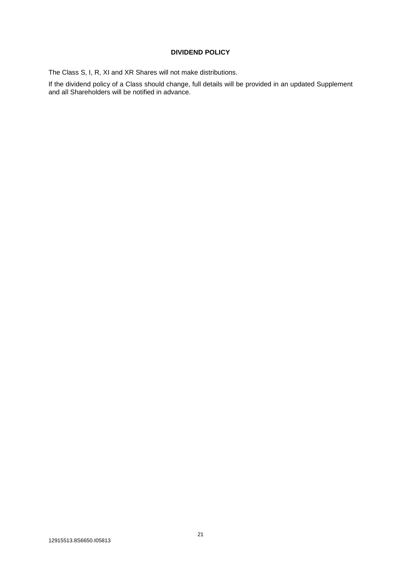## **DIVIDEND POLICY**

The Class S, I, R, XI and XR Shares will not make distributions.

If the dividend policy of a Class should change, full details will be provided in an updated Supplement and all Shareholders will be notified in advance.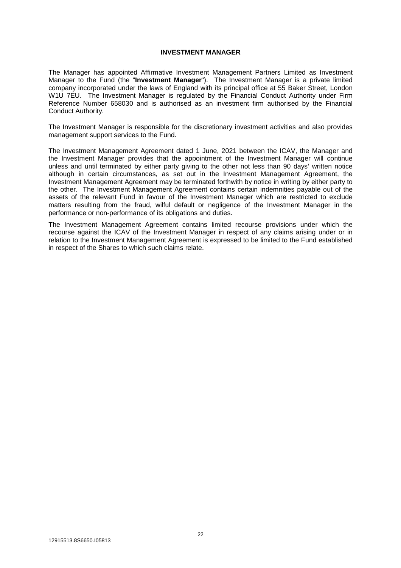## **INVESTMENT MANAGER**

The Manager has appointed Affirmative Investment Management Partners Limited as Investment Manager to the Fund (the "**Investment Manager**"). The Investment Manager is a private limited company incorporated under the laws of England with its principal office at 55 Baker Street, London W1U 7EU. The Investment Manager is regulated by the Financial Conduct Authority under Firm Reference Number 658030 and is authorised as an investment firm authorised by the Financial Conduct Authority.

The Investment Manager is responsible for the discretionary investment activities and also provides management support services to the Fund.

The Investment Management Agreement dated 1 June, 2021 between the ICAV, the Manager and the Investment Manager provides that the appointment of the Investment Manager will continue unless and until terminated by either party giving to the other not less than 90 days' written notice although in certain circumstances, as set out in the Investment Management Agreement, the Investment Management Agreement may be terminated forthwith by notice in writing by either party to the other. The Investment Management Agreement contains certain indemnities payable out of the assets of the relevant Fund in favour of the Investment Manager which are restricted to exclude matters resulting from the fraud, wilful default or negligence of the Investment Manager in the performance or non-performance of its obligations and duties.

The Investment Management Agreement contains limited recourse provisions under which the recourse against the ICAV of the Investment Manager in respect of any claims arising under or in relation to the Investment Management Agreement is expressed to be limited to the Fund established in respect of the Shares to which such claims relate.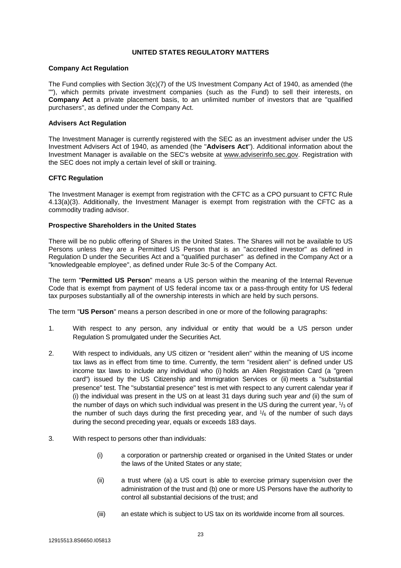### **UNITED STATES REGULATORY MATTERS**

#### **Company Act Regulation**

The Fund complies with Section 3(c)(7) of the US Investment Company Act of 1940, as amended (the ""), which permits private investment companies (such as the Fund) to sell their interests, on **Company Act** a private placement basis, to an unlimited number of investors that are "qualified purchasers", as defined under the Company Act.

#### **Advisers Act Regulation**

The Investment Manager is currently registered with the SEC as an investment adviser under the US Investment Advisers Act of 1940, as amended (the "**Advisers Act**"). Additional information about the Investment Manager is available on the SEC's website at www.adviserinfo.sec.gov. Registration with the SEC does not imply a certain level of skill or training.

### **CFTC Regulation**

The Investment Manager is exempt from registration with the CFTC as a CPO pursuant to CFTC Rule 4.13(a)(3). Additionally, the Investment Manager is exempt from registration with the CFTC as a commodity trading advisor.

### **Prospective Shareholders in the United States**

There will be no public offering of Shares in the United States. The Shares will not be available to US Persons unless they are a Permitted US Person that is an "accredited investor" as defined in Regulation D under the Securities Act and a "qualified purchaser" as defined in the Company Act or a "knowledgeable employee", as defined under Rule 3c-5 of the Company Act.

The term "**Permitted US Person**" means a US person within the meaning of the Internal Revenue Code that is exempt from payment of US federal income tax or a pass-through entity for US federal tax purposes substantially all of the ownership interests in which are held by such persons.

The term "**US Person**" means a person described in one or more of the following paragraphs:

- 1. With respect to any person, any individual or entity that would be a US person under Regulation S promulgated under the Securities Act.
- 2. With respect to individuals, any US citizen or "resident alien" within the meaning of US income tax laws as in effect from time to time. Currently, the term "resident alien" is defined under US income tax laws to include any individual who (i) holds an Alien Registration Card (a "green card") issued by the US Citizenship and Immigration Services or (ii) meets a "substantial presence" test. The "substantial presence" test is met with respect to any current calendar year if (i) the individual was present in the US on at least 31 days during such year *and* (ii) the sum of the number of days on which such individual was present in the US during the current year,  $1/3$  of the number of such days during the first preceding year, and  $1/6$  of the number of such days during the second preceding year, equals or exceeds 183 days.
- 3. With respect to persons other than individuals:
	- (i) a corporation or partnership created or organised in the United States or under the laws of the United States or any state;
	- (ii) a trust where (a) a US court is able to exercise primary supervision over the administration of the trust and (b) one or more US Persons have the authority to control all substantial decisions of the trust; and
	- (iii) an estate which is subject to US tax on its worldwide income from all sources.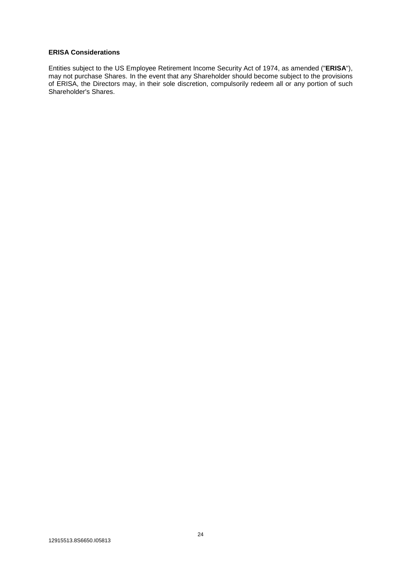## **ERISA Considerations**

Entities subject to the US Employee Retirement Income Security Act of 1974, as amended ("**ERISA**"), may not purchase Shares. In the event that any Shareholder should become subject to the provisions of ERISA, the Directors may, in their sole discretion, compulsorily redeem all or any portion of such Shareholder's Shares.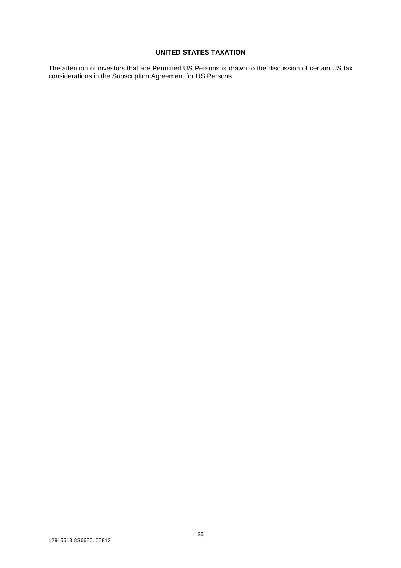## **UNITED STATES TAXATION**

The attention of investors that are Permitted US Persons is drawn to the discussion of certain US tax considerations in the Subscription Agreement for US Persons.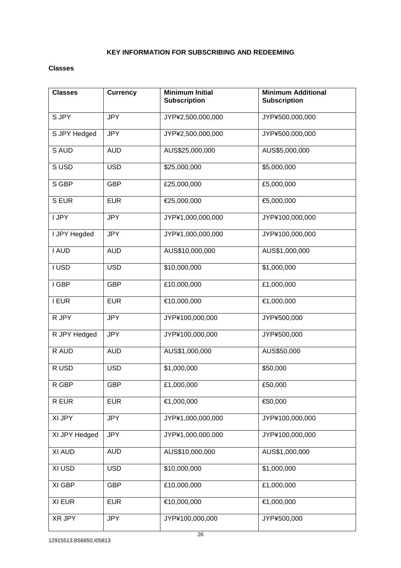## **KEY INFORMATION FOR SUBSCRIBING AND REDEEMING**

### **Classes**

| <b>Classes</b> | <b>Currency</b> | <b>Minimum Initial</b><br><b>Subscription</b> | <b>Minimum Additional</b><br><b>Subscription</b> |
|----------------|-----------------|-----------------------------------------------|--------------------------------------------------|
| S JPY          | <b>JPY</b>      | JYP¥2,500,000,000                             | JYP¥500,000,000                                  |
| S JPY Hedged   | <b>JPY</b>      | JYP¥2,500,000,000                             | JYP¥500,000,000                                  |
| S AUD          | <b>AUD</b>      | AUS\$25,000,000                               | AUS\$5,000,000                                   |
| SUSD           | <b>USD</b>      | \$25,000,000                                  | \$5,000,000                                      |
| S GBP          | <b>GBP</b>      | £25,000,000                                   | £5,000,000                                       |
| S EUR          | <b>EUR</b>      | €25,000,000                                   | €5,000,000                                       |
| I JPY          | <b>JPY</b>      | JYP¥1,000,000,000                             | JYP¥100,000,000                                  |
| I JPY Hegded   | <b>JPY</b>      | JYP¥1,000,000,000                             | JYP¥100,000,000                                  |
| I AUD          | <b>AUD</b>      | AUS\$10,000,000                               | AUS\$1,000,000                                   |
| I USD          | <b>USD</b>      | \$10,000,000                                  | \$1,000,000                                      |
| I GBP          | <b>GBP</b>      | £10,000,000                                   | £1,000,000                                       |
| <b>I EUR</b>   | <b>EUR</b>      | €10,000,000                                   | €1,000,000                                       |
| R JPY          | <b>JPY</b>      | JYP¥100,000,000                               | JYP¥500,000                                      |
| R JPY Hedged   | <b>JPY</b>      | JYP¥100,000,000                               | JYP¥500,000                                      |
| R AUD          | <b>AUD</b>      | AUS\$1,000,000                                | AUS\$50,000                                      |
| R USD          | <b>USD</b>      | \$1,000,000                                   | \$50,000                                         |
| R GBP          | <b>GBP</b>      | £1,000,000                                    | £50,000                                          |
| R EUR          | <b>EUR</b>      | €1,000,000                                    | €50,000                                          |
| XI JPY         | <b>JPY</b>      | JYP¥1,000,000,000                             | JYP¥100,000,000                                  |
| XI JPY Hedged  | <b>JPY</b>      | JYP¥1,000,000,000                             | JYP¥100,000,000                                  |
| XI AUD         | <b>AUD</b>      | AUS\$10,000,000                               | AUS\$1,000,000                                   |
| XI USD         | <b>USD</b>      | \$10,000,000                                  | \$1,000,000                                      |
| XI GBP         | <b>GBP</b>      | £10,000,000                                   | £1,000,000                                       |
| XI EUR         | <b>EUR</b>      | €10,000,000                                   | €1,000,000                                       |
| XR JPY         | <b>JPY</b>      | JYP¥100,000,000                               | JYP¥500,000                                      |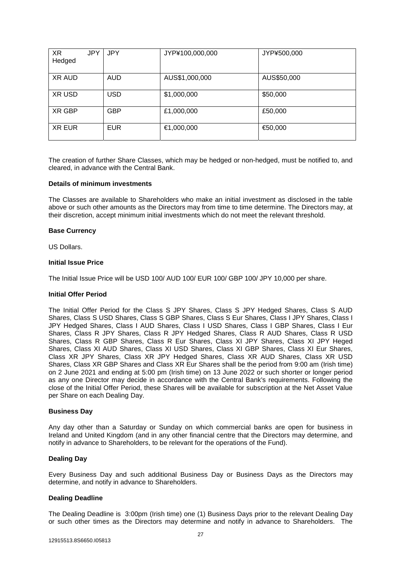| <b>XR</b><br>Hedged | <b>JPY</b> | <b>JPY</b> | JYP¥100,000,000 | JYP¥500,000 |
|---------------------|------------|------------|-----------------|-------------|
| <b>XR AUD</b>       |            | <b>AUD</b> | AUS\$1,000,000  | AUS\$50,000 |
| XR USD              |            | <b>USD</b> | \$1,000,000     | \$50,000    |
| XR GBP              |            | <b>GBP</b> | £1,000,000      | £50,000     |
| <b>XR EUR</b>       |            | <b>EUR</b> | €1,000,000      | €50,000     |

The creation of further Share Classes, which may be hedged or non-hedged, must be notified to, and cleared, in advance with the Central Bank.

#### **Details of minimum investments**

The Classes are available to Shareholders who make an initial investment as disclosed in the table above or such other amounts as the Directors may from time to time determine. The Directors may, at their discretion, accept minimum initial investments which do not meet the relevant threshold.

#### **Base Currency**

US Dollars.

#### **Initial Issue Price**

The Initial Issue Price will be USD 100/ AUD 100/ EUR 100/ GBP 100/ JPY 10,000 per share.

### **Initial Offer Period**

The Initial Offer Period for the Class S JPY Shares, Class S JPY Hedged Shares, Class S AUD Shares, Class S USD Shares, Class S GBP Shares, Class S Eur Shares, Class I JPY Shares, Class I JPY Hedged Shares, Class I AUD Shares, Class I USD Shares, Class I GBP Shares, Class I Eur Shares, Class R JPY Shares, Class R JPY Hedged Shares, Class R AUD Shares, Class R USD Shares, Class R GBP Shares, Class R Eur Shares, Class XI JPY Shares, Class XI JPY Heged Shares, Class XI AUD Shares, Class XI USD Shares, Class XI GBP Shares, Class XI Eur Shares, Class XR JPY Shares, Class XR JPY Hedged Shares, Class XR AUD Shares, Class XR USD Shares, Class XR GBP Shares and Class XR Eur Shares shall be the period from 9:00 am (Irish time) on 2 June 2021 and ending at 5:00 pm (Irish time) on 13 June 2022 or such shorter or longer period as any one Director may decide in accordance with the Central Bank's requirements. Following the close of the Initial Offer Period, these Shares will be available for subscription at the Net Asset Value per Share on each Dealing Day.

#### **Business Day**

Any day other than a Saturday or Sunday on which commercial banks are open for business in Ireland and United Kingdom (and in any other financial centre that the Directors may determine, and notify in advance to Shareholders, to be relevant for the operations of the Fund).

#### **Dealing Day**

Every Business Day and such additional Business Day or Business Days as the Directors may determine, and notify in advance to Shareholders.

#### **Dealing Deadline**

The Dealing Deadline is 3:00pm (Irish time) one (1) Business Days prior to the relevant Dealing Day or such other times as the Directors may determine and notify in advance to Shareholders. The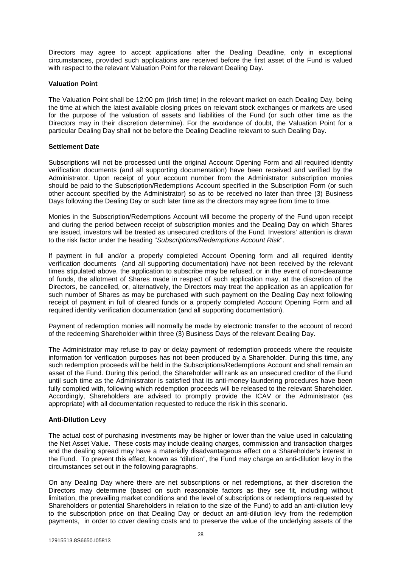Directors may agree to accept applications after the Dealing Deadline, only in exceptional circumstances, provided such applications are received before the first asset of the Fund is valued with respect to the relevant Valuation Point for the relevant Dealing Day.

#### **Valuation Point**

The Valuation Point shall be 12:00 pm (Irish time) in the relevant market on each Dealing Day, being the time at which the latest available closing prices on relevant stock exchanges or markets are used for the purpose of the valuation of assets and liabilities of the Fund (or such other time as the Directors may in their discretion determine). For the avoidance of doubt, the Valuation Point for a particular Dealing Day shall not be before the Dealing Deadline relevant to such Dealing Day.

### **Settlement Date**

Subscriptions will not be processed until the original Account Opening Form and all required identity verification documents (and all supporting documentation) have been received and verified by the Administrator. Upon receipt of your account number from the Administrator subscription monies should be paid to the Subscription/Redemptions Account specified in the Subscription Form (or such other account specified by the Administrator) so as to be received no later than three (3) Business Days following the Dealing Day or such later time as the directors may agree from time to time.

Monies in the Subscription/Redemptions Account will become the property of the Fund upon receipt and during the period between receipt of subscription monies and the Dealing Day on which Shares are issued, investors will be treated as unsecured creditors of the Fund. Investors' attention is drawn to the risk factor under the heading "*Subscriptions/Redemptions Account Risk*".

If payment in full and/or a properly completed Account Opening form and all required identity verification documents (and all supporting documentation) have not been received by the relevant times stipulated above, the application to subscribe may be refused, or in the event of non-clearance of funds, the allotment of Shares made in respect of such application may, at the discretion of the Directors, be cancelled, or, alternatively, the Directors may treat the application as an application for such number of Shares as may be purchased with such payment on the Dealing Day next following receipt of payment in full of cleared funds or a properly completed Account Opening Form and all required identity verification documentation (and all supporting documentation).

Payment of redemption monies will normally be made by electronic transfer to the account of record of the redeeming Shareholder within three (3) Business Days of the relevant Dealing Day.

The Administrator may refuse to pay or delay payment of redemption proceeds where the requisite information for verification purposes has not been produced by a Shareholder. During this time, any such redemption proceeds will be held in the Subscriptions/Redemptions Account and shall remain an asset of the Fund. During this period, the Shareholder will rank as an unsecured creditor of the Fund until such time as the Administrator is satisfied that its anti-money-laundering procedures have been fully complied with, following which redemption proceeds will be released to the relevant Shareholder. Accordingly, Shareholders are advised to promptly provide the ICAV or the Administrator (as appropriate) with all documentation requested to reduce the risk in this scenario.

## **Anti-Dilution Levy**

The actual cost of purchasing investments may be higher or lower than the value used in calculating the Net Asset Value. These costs may include dealing charges, commission and transaction charges and the dealing spread may have a materially disadvantageous effect on a Shareholder's interest in the Fund. To prevent this effect, known as "dilution", the Fund may charge an anti-dilution levy in the circumstances set out in the following paragraphs.

On any Dealing Day where there are net subscriptions or net redemptions, at their discretion the Directors may determine (based on such reasonable factors as they see fit, including without limitation, the prevailing market conditions and the level of subscriptions or redemptions requested by Shareholders or potential Shareholders in relation to the size of the Fund) to add an anti-dilution levy to the subscription price on that Dealing Day or deduct an anti-dilution levy from the redemption payments, in order to cover dealing costs and to preserve the value of the underlying assets of the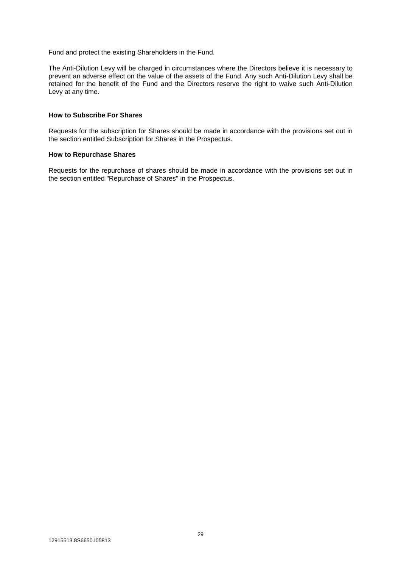Fund and protect the existing Shareholders in the Fund.

The Anti-Dilution Levy will be charged in circumstances where the Directors believe it is necessary to prevent an adverse effect on the value of the assets of the Fund. Any such Anti-Dilution Levy shall be retained for the benefit of the Fund and the Directors reserve the right to waive such Anti-Dilution Levy at any time.

## **How to Subscribe For Shares**

Requests for the subscription for Shares should be made in accordance with the provisions set out in the section entitled Subscription for Shares in the Prospectus.

#### **How to Repurchase Shares**

Requests for the repurchase of shares should be made in accordance with the provisions set out in the section entitled "Repurchase of Shares" in the Prospectus.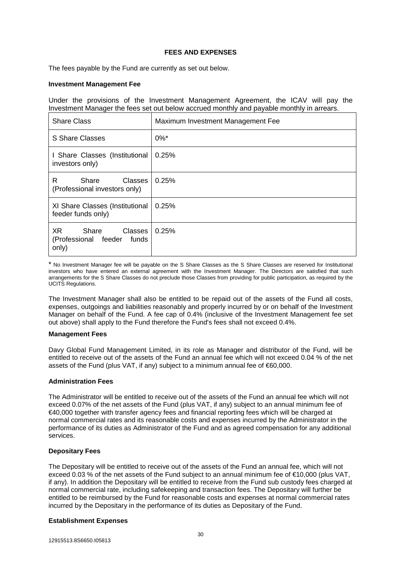### **FEES AND EXPENSES**

The fees payable by the Fund are currently as set out below.

#### **Investment Management Fee**

Under the provisions of the Investment Management Agreement, the ICAV will pay the Investment Manager the fees set out below accrued monthly and payable monthly in arrears.

| <b>Share Class</b>                                                  | Maximum Investment Management Fee |
|---------------------------------------------------------------------|-----------------------------------|
| S Share Classes                                                     | $0\%$ <sup>*</sup>                |
| I Share Classes (Institutional<br>investors only)                   | 0.25%                             |
| R<br>Classes<br>Share<br>(Professional investors only)              | 0.25%                             |
| XI Share Classes (Institutional<br>feeder funds only)               | 0.25%                             |
| XR.<br>Share<br>Classes I<br>(Professional feeder<br>funds<br>only) | 0.25%                             |

\* No Investment Manager fee will be payable on the S Share Classes as the S Share Classes are reserved for Institutional investors who have entered an external agreement with the Investment Manager. The Directors are satisfied that such arrangements for the S Share Classes do not preclude those Classes from providing for public participation, as required by the UCITS Regulations.

The Investment Manager shall also be entitled to be repaid out of the assets of the Fund all costs, expenses, outgoings and liabilities reasonably and properly incurred by or on behalf of the Investment Manager on behalf of the Fund. A fee cap of 0.4% (inclusive of the Investment Management fee set out above) shall apply to the Fund therefore the Fund's fees shall not exceed 0.4%.

#### **Management Fees**

Davy Global Fund Management Limited, in its role as Manager and distributor of the Fund, will be entitled to receive out of the assets of the Fund an annual fee which will not exceed 0.04 % of the net assets of the Fund (plus VAT, if any) subject to a minimum annual fee of  $60,000$ .

#### **Administration Fees**

The Administrator will be entitled to receive out of the assets of the Fund an annual fee which will not exceed 0.07% of the net assets of the Fund (plus VAT, if any) subject to an annual minimum fee of €40,000 together with transfer agency fees and financial reporting fees which will be charged at normal commercial rates and its reasonable costs and expenses incurred by the Administrator in the performance of its duties as Administrator of the Fund and as agreed compensation for any additional services.

#### **Depositary Fees**

The Depositary will be entitled to receive out of the assets of the Fund an annual fee, which will not exceed 0.03 % of the net assets of the Fund subject to an annual minimum fee of €10,000 (plus VAT, if any). In addition the Depositary will be entitled to receive from the Fund sub custody fees charged at normal commercial rate, including safekeeping and transaction fees. The Depositary will further be entitled to be reimbursed by the Fund for reasonable costs and expenses at normal commercial rates incurred by the Depositary in the performance of its duties as Depositary of the Fund.

#### **Establishment Expenses**